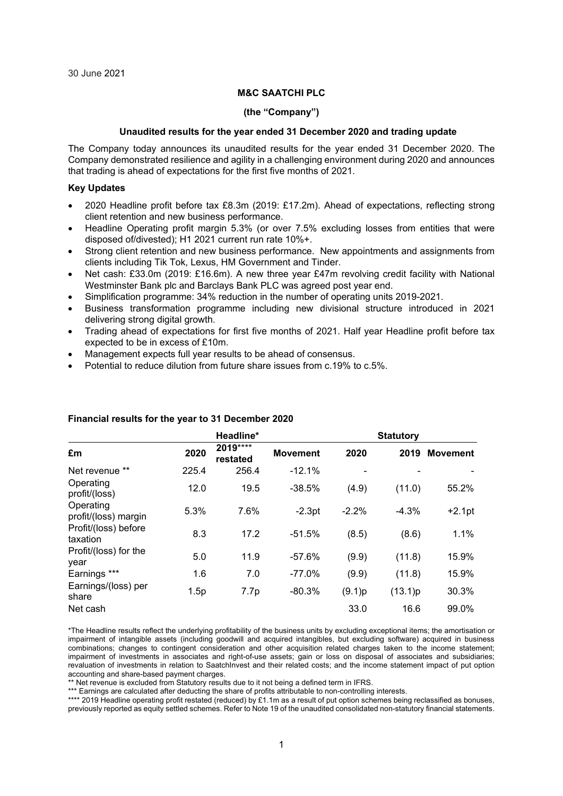#### **M&C SAATCHI PLC**

#### **(the "Company")**

## **Unaudited results for the year ended 31 December 2020 and trading update**

The Company today announces its unaudited results for the year ended 31 December 2020. The Company demonstrated resilience and agility in a challenging environment during 2020 and announces that trading is ahead of expectations for the first five months of 2021.

#### **Key Updates**

- 2020 Headline profit before tax £8.3m (2019: £17.2m). Ahead of expectations, reflecting strong client retention and new business performance.
- Headline Operating profit margin 5.3% (or over 7.5% excluding losses from entities that were disposed of/divested); H1 2021 current run rate 10%+.
- Strong client retention and new business performance. New appointments and assignments from clients including Tik Tok, Lexus, HM Government and Tinder.
- Net cash: £33.0m (2019: £16.6m). A new three year £47m revolving credit facility with National Westminster Bank plc and Barclays Bank PLC was agreed post year end.
- Simplification programme: 34% reduction in the number of operating units 2019-2021.
- Business transformation programme including new divisional structure introduced in 2021 delivering strong digital growth.
- Trading ahead of expectations for first five months of 2021. Half year Headline profit before tax expected to be in excess of £10m.
- Management expects full year results to be ahead of consensus.
- Potential to reduce dilution from future share issues from c.19% to c.5%.

|                                   |       | Headline*             |                 |         | <b>Statutory</b> |                 |
|-----------------------------------|-------|-----------------------|-----------------|---------|------------------|-----------------|
| £m                                | 2020  | 2019 ****<br>restated | <b>Movement</b> | 2020    | 2019             | <b>Movement</b> |
| Net revenue **                    | 225.4 | 256.4                 | $-12.1%$        |         |                  |                 |
| Operating<br>profit/(loss)        | 12.0  | 19.5                  | $-38.5%$        | (4.9)   | (11.0)           | 55.2%           |
| Operating<br>profit/(loss) margin | 5.3%  | 7.6%                  | $-2.3pt$        | $-2.2%$ | $-4.3%$          | $+2.1pt$        |
| Profit/(loss) before<br>taxation  | 8.3   | 17.2                  | $-51.5%$        | (8.5)   | (8.6)            | 1.1%            |
| Profit/(loss) for the<br>year     | 5.0   | 11.9                  | $-57.6%$        | (9.9)   | (11.8)           | 15.9%           |
| Earnings ***                      | 1.6   | 7.0                   | $-77.0%$        | (9.9)   | (11.8)           | 15.9%           |
| Earnings/(loss) per<br>share      | 1.5p  | 7.7p                  | $-80.3%$        | (9.1)p  | (13.1)p          | 30.3%           |
| Net cash                          |       |                       |                 | 33.0    | 16.6             | 99.0%           |

#### **Financial results for the year to 31 December 2020**

\*The Headline results reflect the underlying profitability of the business units by excluding exceptional items; the amortisation or impairment of intangible assets (including goodwill and acquired intangibles, but excluding software) acquired in business combinations; changes to contingent consideration and other acquisition related charges taken to the income statement; impairment of investments in associates and right-of-use assets; gain or loss on disposal of associates and subsidiaries; revaluation of investments in relation to SaatchInvest and their related costs; and the income statement impact of put option accounting and share-based payment charges.

\*\* Net revenue is excluded from Statutory results due to it not being a defined term in IFRS.

\*\*\* Earnings are calculated after deducting the share of profits attributable to non-controlling interests.

\*\*\*\* 2019 Headline operating profit restated (reduced) by £1.1m as a result of put option schemes being reclassified as bonuses, previously reported as equity settled schemes. Refer to Note 19 of the unaudited consolidated non-statutory financial statements.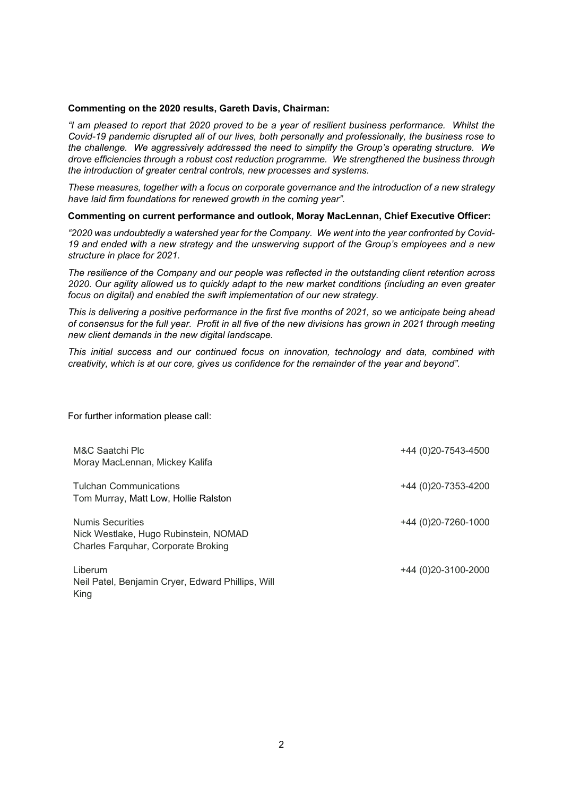#### **Commenting on the 2020 results, Gareth Davis, Chairman:**

*"I am pleased to report that 2020 proved to be a year of resilient business performance. Whilst the Covid-19 pandemic disrupted all of our lives, both personally and professionally, the business rose to the challenge. We aggressively addressed the need to simplify the Group's operating structure. We drove efficiencies through a robust cost reduction programme. We strengthened the business through the introduction of greater central controls, new processes and systems.* 

*These measures, together with a focus on corporate governance and the introduction of a new strategy have laid firm foundations for renewed growth in the coming year".*

#### **Commenting on current performance and outlook, Moray MacLennan, Chief Executive Officer:**

*"2020 was undoubtedly a watershed year for the Company. We went into the year confronted by Covid-19 and ended with a new strategy and the unswerving support of the Group's employees and a new structure in place for 2021.*

*The resilience of the Company and our people was reflected in the outstanding client retention across 2020. Our agility allowed us to quickly adapt to the new market conditions (including an even greater focus on digital) and enabled the swift implementation of our new strategy.*

*This is delivering a positive performance in the first five months of 2021, so we anticipate being ahead of consensus for the full year. Profit in all five of the new divisions has grown in 2021 through meeting new client demands in the new digital landscape.*

*This initial success and our continued focus on innovation, technology and data, combined with creativity, which is at our core, gives us confidence for the remainder of the year and beyond".*

#### For further information please call:

| M&C Saatchi Plc<br>Moray MacLennan, Mickey Kalifa                                                | +44 (0) 20-7543-4500     |
|--------------------------------------------------------------------------------------------------|--------------------------|
| <b>Tulchan Communications</b><br>Tom Murray, Matt Low, Hollie Ralston                            | +44 (0)20-7353-4200      |
| Numis Securities<br>Nick Westlake, Hugo Rubinstein, NOMAD<br>Charles Farquhar, Corporate Broking | +44 (0)20-7260-1000      |
| Liberum<br>Neil Patel, Benjamin Cryer, Edward Phillips, Will<br>King                             | +44 (0) 20 - 3100 - 2000 |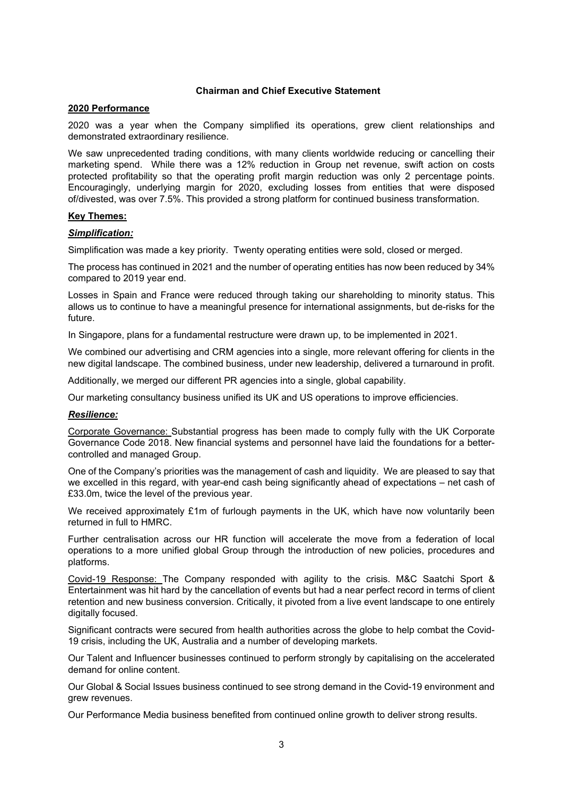## **Chairman and Chief Executive Statement**

### **2020 Performance**

2020 was a year when the Company simplified its operations, grew client relationships and demonstrated extraordinary resilience.

We saw unprecedented trading conditions, with many clients worldwide reducing or cancelling their marketing spend. While there was a 12% reduction in Group net revenue, swift action on costs protected profitability so that the operating profit margin reduction was only 2 percentage points. Encouragingly, underlying margin for 2020, excluding losses from entities that were disposed of/divested, was over 7.5%. This provided a strong platform for continued business transformation.

## **Key Themes:**

## *Simplification:*

Simplification was made a key priority. Twenty operating entities were sold, closed or merged.

The process has continued in 2021 and the number of operating entities has now been reduced by 34% compared to 2019 year end.

Losses in Spain and France were reduced through taking our shareholding to minority status. This allows us to continue to have a meaningful presence for international assignments, but de-risks for the future.

In Singapore, plans for a fundamental restructure were drawn up, to be implemented in 2021.

We combined our advertising and CRM agencies into a single, more relevant offering for clients in the new digital landscape. The combined business, under new leadership, delivered a turnaround in profit.

Additionally, we merged our different PR agencies into a single, global capability.

Our marketing consultancy business unified its UK and US operations to improve efficiencies.

# *Resilience:*

Corporate Governance: Substantial progress has been made to comply fully with the UK Corporate Governance Code 2018. New financial systems and personnel have laid the foundations for a bettercontrolled and managed Group.

One of the Company's priorities was the management of cash and liquidity. We are pleased to say that we excelled in this regard, with year-end cash being significantly ahead of expectations – net cash of £33.0m, twice the level of the previous year.

We received approximately £1m of furlough payments in the UK, which have now voluntarily been returned in full to HMRC.

Further centralisation across our HR function will accelerate the move from a federation of local operations to a more unified global Group through the introduction of new policies, procedures and platforms.

Covid-19 Response: The Company responded with agility to the crisis. M&C Saatchi Sport & Entertainment was hit hard by the cancellation of events but had a near perfect record in terms of client retention and new business conversion. Critically, it pivoted from a live event landscape to one entirely digitally focused.

Significant contracts were secured from health authorities across the globe to help combat the Covid-19 crisis, including the UK, Australia and a number of developing markets.

Our Talent and Influencer businesses continued to perform strongly by capitalising on the accelerated demand for online content.

Our Global & Social Issues business continued to see strong demand in the Covid-19 environment and grew revenues.

Our Performance Media business benefited from continued online growth to deliver strong results.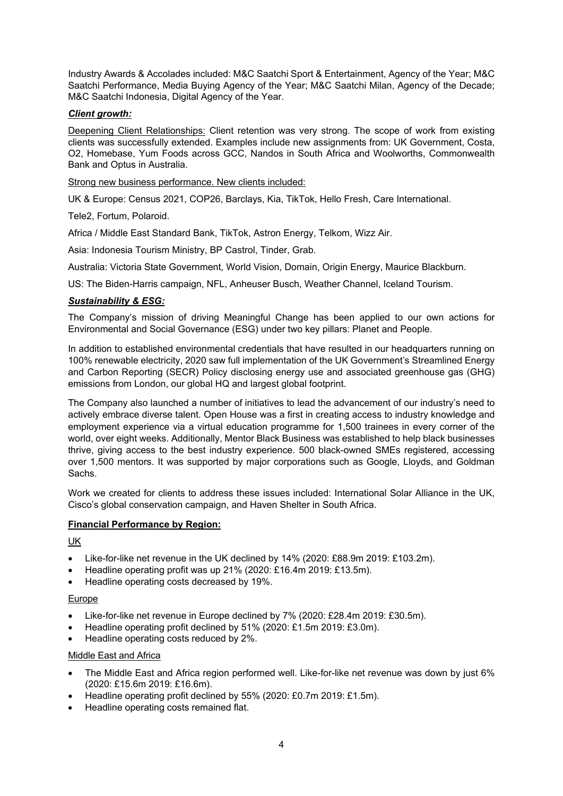Industry Awards & Accolades included: M&C Saatchi Sport & Entertainment, Agency of the Year; M&C Saatchi Performance, Media Buying Agency of the Year; M&C Saatchi Milan, Agency of the Decade; M&C Saatchi Indonesia, Digital Agency of the Year.

# *Client growth:*

Deepening Client Relationships: Client retention was very strong. The scope of work from existing clients was successfully extended. Examples include new assignments from: UK Government, Costa, O2, Homebase, Yum Foods across GCC, Nandos in South Africa and Woolworths, Commonwealth Bank and Optus in Australia.

Strong new business performance. New clients included:

UK & Europe: Census 2021, COP26, Barclays, Kia, TikTok, Hello Fresh, Care International.

Tele2, Fortum, Polaroid.

Africa / Middle East Standard Bank, TikTok, Astron Energy, Telkom, Wizz Air.

Asia: Indonesia Tourism Ministry, BP Castrol, Tinder, Grab.

Australia: Victoria State Government, World Vision, Domain, Origin Energy, Maurice Blackburn.

US: The Biden-Harris campaign, NFL, Anheuser Busch, Weather Channel, Iceland Tourism.

# *Sustainability & ESG:*

The Company's mission of driving Meaningful Change has been applied to our own actions for Environmental and Social Governance (ESG) under two key pillars: Planet and People.

In addition to established environmental credentials that have resulted in our headquarters running on 100% renewable electricity, 2020 saw full implementation of the UK Government's Streamlined Energy and Carbon Reporting (SECR) Policy disclosing energy use and associated greenhouse gas (GHG) emissions from London, our global HQ and largest global footprint.

The Company also launched a number of initiatives to lead the advancement of our industry's need to actively embrace diverse talent. Open House was a first in creating access to industry knowledge and employment experience via a virtual education programme for 1,500 trainees in every corner of the world, over eight weeks. Additionally, Mentor Black Business was established to help black businesses thrive, giving access to the best industry experience. 500 black-owned SMEs registered, accessing over 1,500 mentors. It was supported by major corporations such as Google, Lloyds, and Goldman Sachs.

Work we created for clients to address these issues included: International Solar Alliance in the UK, Cisco's global conservation campaign, and Haven Shelter in South Africa.

# **Financial Performance by Region:**

# UK

- Like-for-like net revenue in the UK declined by 14% (2020: £88.9m 2019: £103.2m).
- Headline operating profit was up 21% (2020: £16.4m 2019: £13.5m).
- Headline operating costs decreased by 19%.

### Europe

- Like-for-like net revenue in Europe declined by 7% (2020: £28.4m 2019: £30.5m).
- Headline operating profit declined by 51% (2020: £1.5m 2019: £3.0m).
- Headline operating costs reduced by 2%.

## Middle East and Africa

- The Middle East and Africa region performed well. Like-for-like net revenue was down by just 6% (2020: £15.6m 2019: £16.6m).
- Headline operating profit declined by 55% (2020: £0.7m 2019: £1.5m).
- Headline operating costs remained flat.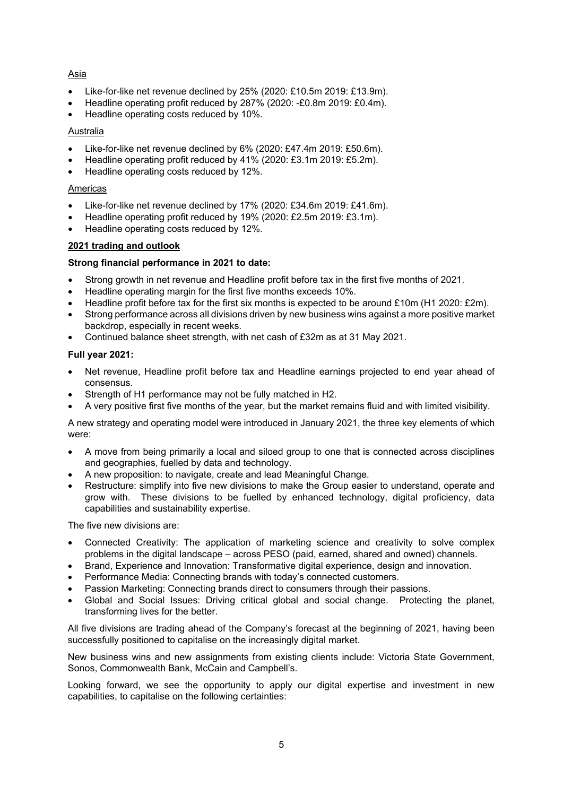# Asia

- Like-for-like net revenue declined by 25% (2020: £10.5m 2019: £13.9m).
- Headline operating profit reduced by 287% (2020: -£0.8m 2019: £0.4m).
- Headline operating costs reduced by 10%.

# Australia

- Like-for-like net revenue declined by 6% (2020: £47.4m 2019: £50.6m).
- Headline operating profit reduced by 41% (2020: £3.1m 2019: £5.2m).
- Headline operating costs reduced by 12%.

# Americas

- Like-for-like net revenue declined by 17% (2020: £34.6m 2019: £41.6m).
- Headline operating profit reduced by 19% (2020: £2.5m 2019: £3.1m).
- Headline operating costs reduced by 12%.

# **2021 trading and outlook**

# **Strong financial performance in 2021 to date:**

- Strong growth in net revenue and Headline profit before tax in the first five months of 2021.
- Headline operating margin for the first five months exceeds 10%.
- Headline profit before tax for the first six months is expected to be around £10m (H1 2020: £2m).
- Strong performance across all divisions driven by new business wins against a more positive market backdrop, especially in recent weeks.
- Continued balance sheet strength, with net cash of £32m as at 31 May 2021.

# **Full year 2021:**

- Net revenue, Headline profit before tax and Headline earnings projected to end year ahead of consensus.
- Strength of H1 performance may not be fully matched in H2.
- A very positive first five months of the year, but the market remains fluid and with limited visibility.

A new strategy and operating model were introduced in January 2021, the three key elements of which were:

- A move from being primarily a local and siloed group to one that is connected across disciplines and geographies, fuelled by data and technology.
- A new proposition: to navigate, create and lead Meaningful Change.
- Restructure: simplify into five new divisions to make the Group easier to understand, operate and grow with. These divisions to be fuelled by enhanced technology, digital proficiency, data capabilities and sustainability expertise.

The five new divisions are:

- Connected Creativity: The application of marketing science and creativity to solve complex problems in the digital landscape – across PESO (paid, earned, shared and owned) channels.
- Brand, Experience and Innovation: Transformative digital experience, design and innovation.
- Performance Media: Connecting brands with today's connected customers.
- Passion Marketing: Connecting brands direct to consumers through their passions.
- Global and Social Issues: Driving critical global and social change. Protecting the planet, transforming lives for the better.

All five divisions are trading ahead of the Company's forecast at the beginning of 2021, having been successfully positioned to capitalise on the increasingly digital market.

New business wins and new assignments from existing clients include: Victoria State Government, Sonos, Commonwealth Bank, McCain and Campbell's.

Looking forward, we see the opportunity to apply our digital expertise and investment in new capabilities, to capitalise on the following certainties: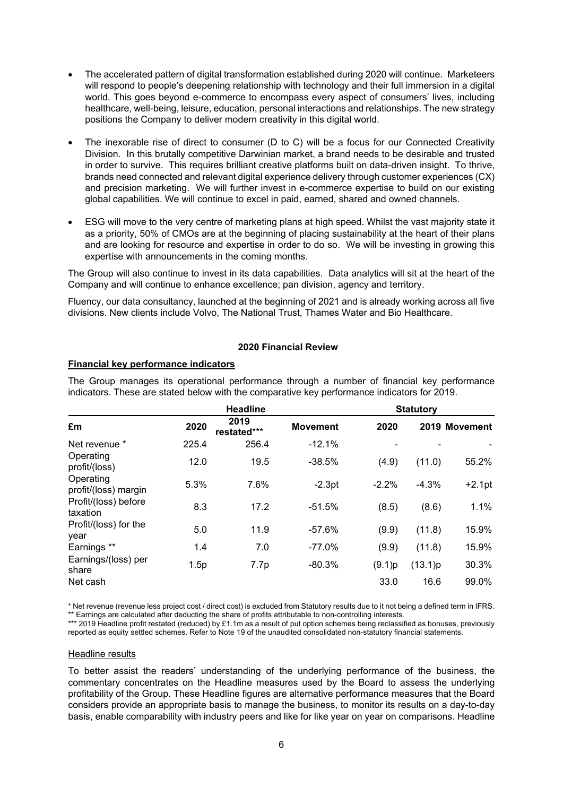- The accelerated pattern of digital transformation established during 2020 will continue. Marketeers will respond to people's deepening relationship with technology and their full immersion in a digital world. This goes beyond e-commerce to encompass every aspect of consumers' lives, including healthcare, well-being, leisure, education, personal interactions and relationships. The new strategy positions the Company to deliver modern creativity in this digital world.
- The inexorable rise of direct to consumer (D to C) will be a focus for our Connected Creativity Division. In this brutally competitive Darwinian market, a brand needs to be desirable and trusted in order to survive. This requires brilliant creative platforms built on data-driven insight. To thrive, brands need connected and relevant digital experience delivery through customer experiences (CX) and precision marketing. We will further invest in e-commerce expertise to build on our existing global capabilities. We will continue to excel in paid, earned, shared and owned channels.
- ESG will move to the very centre of marketing plans at high speed. Whilst the vast majority state it as a priority, 50% of CMOs are at the beginning of placing sustainability at the heart of their plans and are looking for resource and expertise in order to do so. We will be investing in growing this expertise with announcements in the coming months.

The Group will also continue to invest in its data capabilities. Data analytics will sit at the heart of the Company and will continue to enhance excellence; pan division, agency and territory.

Fluency, our data consultancy, launched at the beginning of 2021 and is already working across all five divisions. New clients include Volvo, The National Trust, Thames Water and Bio Healthcare.

# **2020 Financial Review**

### **Financial key performance indicators**

|                                   |       | <b>Headline</b>     |                 | <b>Statutory</b> |         |               |
|-----------------------------------|-------|---------------------|-----------------|------------------|---------|---------------|
| £m                                | 2020  | 2019<br>restated*** | <b>Movement</b> | 2020             |         | 2019 Movement |
| Net revenue *                     | 225.4 | 256.4               | $-12.1%$        |                  |         |               |
| Operating<br>profit/(loss)        | 12.0  | 19.5                | $-38.5%$        | (4.9)            | (11.0)  | 55.2%         |
| Operating<br>profit/(loss) margin | 5.3%  | 7.6%                | $-2.3pt$        | $-2.2%$          | $-4.3%$ | $+2.1pt$      |
| Profit/(loss) before<br>taxation  | 8.3   | 17.2                | $-51.5%$        | (8.5)            | (8.6)   | 1.1%          |
| Profit/(loss) for the<br>vear     | 5.0   | 11.9                | $-57.6%$        | (9.9)            | (11.8)  | 15.9%         |
| Earnings **                       | 1.4   | 7.0                 | $-77.0%$        | (9.9)            | (11.8)  | 15.9%         |
| Earnings/(loss) per<br>share      | 1.5p  | 7.7p                | $-80.3%$        | (9.1)p           | (13.1)p | 30.3%         |
| Net cash                          |       |                     |                 | 33.0             | 16.6    | 99.0%         |

The Group manages its operational performance through a number of financial key performance indicators. These are stated below with the comparative key performance indicators for 2019.

\* Net revenue (revenue less project cost / direct cost) is excluded from Statutory results due to it not being a defined term in IFRS. \*\* Earnings are calculated after deducting the share of profits attributable to non-controlling interests.

\*\*\* 2019 Headline profit restated (reduced) by £1.1m as a result of put option schemes being reclassified as bonuses, previously reported as equity settled schemes. Refer to Note 19 of the unaudited consolidated non-statutory financial statements.

### Headline results

To better assist the readers' understanding of the underlying performance of the business, the commentary concentrates on the Headline measures used by the Board to assess the underlying profitability of the Group. These Headline figures are alternative performance measures that the Board considers provide an appropriate basis to manage the business, to monitor its results on a day-to-day basis, enable comparability with industry peers and like for like year on year on comparisons. Headline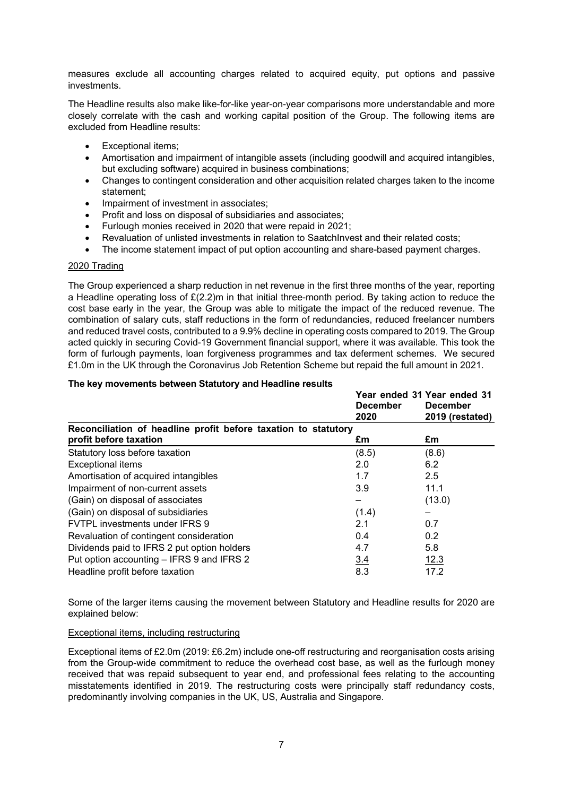measures exclude all accounting charges related to acquired equity, put options and passive investments.

The Headline results also make like-for-like year-on-year comparisons more understandable and more closely correlate with the cash and working capital position of the Group. The following items are excluded from Headline results:

- Exceptional items:
- Amortisation and impairment of intangible assets (including goodwill and acquired intangibles, but excluding software) acquired in business combinations;
- Changes to contingent consideration and other acquisition related charges taken to the income statement;
- Impairment of investment in associates:
- Profit and loss on disposal of subsidiaries and associates;
- Furlough monies received in 2020 that were repaid in 2021;
- Revaluation of unlisted investments in relation to SaatchInvest and their related costs;
- The income statement impact of put option accounting and share-based payment charges.

### 2020 Trading

The Group experienced a sharp reduction in net revenue in the first three months of the year, reporting a Headline operating loss of £(2.2)m in that initial three-month period. By taking action to reduce the cost base early in the year, the Group was able to mitigate the impact of the reduced revenue. The combination of salary cuts, staff reductions in the form of redundancies, reduced freelancer numbers and reduced travel costs, contributed to a 9.9% decline in operating costs compared to 2019. The Group acted quickly in securing Covid-19 Government financial support, where it was available. This took the form of furlough payments, loan forgiveness programmes and tax deferment schemes. We secured £1.0m in the UK through the Coronavirus Job Retention Scheme but repaid the full amount in 2021.

#### **The key movements between Statutory and Headline results**

|                                                                | <b>December</b> | Year ended 31 Year ended 31<br><b>December</b> |
|----------------------------------------------------------------|-----------------|------------------------------------------------|
|                                                                | 2020            | 2019 (restated)                                |
| Reconciliation of headline profit before taxation to statutory |                 |                                                |
| profit before taxation                                         | £m              | £m                                             |
| Statutory loss before taxation                                 | (8.5)           | (8.6)                                          |
| <b>Exceptional items</b>                                       | 2.0             | 6.2                                            |
| Amortisation of acquired intangibles                           | 1.7             | 2.5                                            |
| Impairment of non-current assets                               | 3.9             | 11.1                                           |
| (Gain) on disposal of associates                               |                 | (13.0)                                         |
| (Gain) on disposal of subsidiaries                             | (1.4)           |                                                |
| <b>FVTPL investments under IFRS 9</b>                          | 2.1             | 0.7                                            |
| Revaluation of contingent consideration                        | 0.4             | 0.2                                            |
| Dividends paid to IFRS 2 put option holders                    | 4.7             | 5.8                                            |
| Put option accounting – IFRS 9 and IFRS 2                      | 3.4             | <u>12.3</u>                                    |
| Headline profit before taxation                                | 8.3             | 17.2                                           |

Some of the larger items causing the movement between Statutory and Headline results for 2020 are explained below:

### Exceptional items, including restructuring

Exceptional items of £2.0m (2019: £6.2m) include one-off restructuring and reorganisation costs arising from the Group-wide commitment to reduce the overhead cost base, as well as the furlough money received that was repaid subsequent to year end, and professional fees relating to the accounting misstatements identified in 2019. The restructuring costs were principally staff redundancy costs, predominantly involving companies in the UK, US, Australia and Singapore.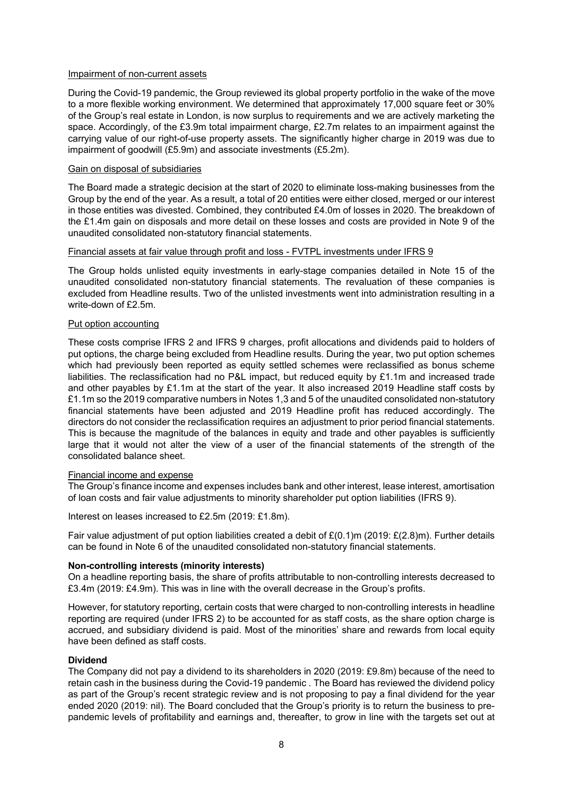### Impairment of non-current assets

During the Covid-19 pandemic, the Group reviewed its global property portfolio in the wake of the move to a more flexible working environment. We determined that approximately 17,000 square feet or 30% of the Group's real estate in London, is now surplus to requirements and we are actively marketing the space. Accordingly, of the £3.9m total impairment charge, £2.7m relates to an impairment against the carrying value of our right-of-use property assets. The significantly higher charge in 2019 was due to impairment of goodwill (£5.9m) and associate investments (£5.2m).

## Gain on disposal of subsidiaries

The Board made a strategic decision at the start of 2020 to eliminate loss-making businesses from the Group by the end of the year. As a result, a total of 20 entities were either closed, merged or our interest in those entities was divested. Combined, they contributed £4.0m of losses in 2020. The breakdown of the £1.4m gain on disposals and more detail on these losses and costs are provided in Note 9 of the unaudited consolidated non-statutory financial statements.

## Financial assets at fair value through profit and loss - FVTPL investments under IFRS 9

The Group holds unlisted equity investments in early-stage companies detailed in Note 15 of the unaudited consolidated non-statutory financial statements. The revaluation of these companies is excluded from Headline results. Two of the unlisted investments went into administration resulting in a write-down of £2.5m.

### Put option accounting

These costs comprise IFRS 2 and IFRS 9 charges, profit allocations and dividends paid to holders of put options, the charge being excluded from Headline results. During the year, two put option schemes which had previously been reported as equity settled schemes were reclassified as bonus scheme liabilities. The reclassification had no P&L impact, but reduced equity by £1.1m and increased trade and other payables by £1.1m at the start of the year. It also increased 2019 Headline staff costs by £1.1m so the 2019 comparative numbers in Notes 1,3 and 5 of the unaudited consolidated non-statutory financial statements have been adjusted and 2019 Headline profit has reduced accordingly. The directors do not consider the reclassification requires an adjustment to prior period financial statements. This is because the magnitude of the balances in equity and trade and other payables is sufficiently large that it would not alter the view of a user of the financial statements of the strength of the consolidated balance sheet.

### Financial income and expense

The Group's finance income and expenses includes bank and other interest, lease interest, amortisation of loan costs and fair value adjustments to minority shareholder put option liabilities (IFRS 9).

Interest on leases increased to £2.5m (2019: £1.8m).

Fair value adjustment of put option liabilities created a debit of £(0.1)m (2019: £(2.8)m). Further details can be found in Note 6 of the unaudited consolidated non-statutory financial statements.

### **Non-controlling interests (minority interests)**

On a headline reporting basis, the share of profits attributable to non-controlling interests decreased to £3.4m (2019: £4.9m). This was in line with the overall decrease in the Group's profits.

However, for statutory reporting, certain costs that were charged to non-controlling interests in headline reporting are required (under IFRS 2) to be accounted for as staff costs, as the share option charge is accrued, and subsidiary dividend is paid. Most of the minorities' share and rewards from local equity have been defined as staff costs.

# **Dividend**

The Company did not pay a dividend to its shareholders in 2020 (2019: £9.8m) because of the need to retain cash in the business during the Covid-19 pandemic . The Board has reviewed the dividend policy as part of the Group's recent strategic review and is not proposing to pay a final dividend for the year ended 2020 (2019: nil). The Board concluded that the Group's priority is to return the business to prepandemic levels of profitability and earnings and, thereafter, to grow in line with the targets set out at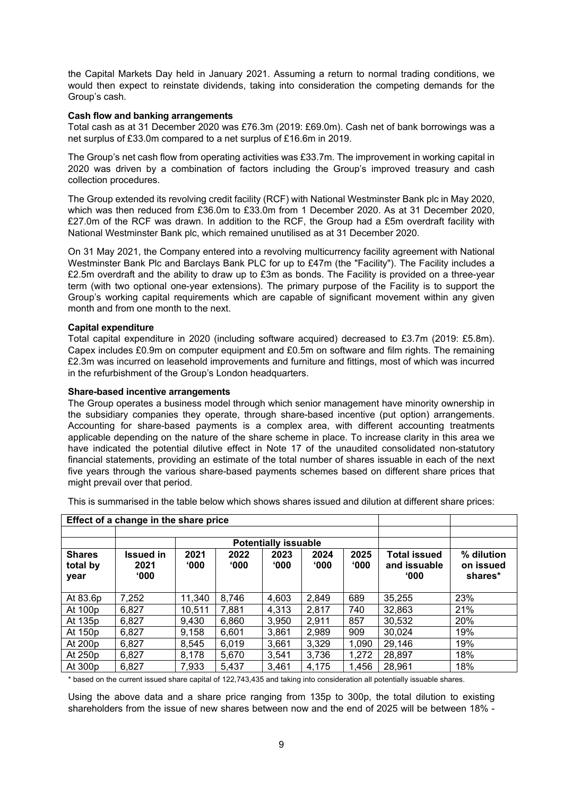the Capital Markets Day held in January 2021. Assuming a return to normal trading conditions, we would then expect to reinstate dividends, taking into consideration the competing demands for the Group's cash.

### **Cash flow and banking arrangements**

Total cash as at 31 December 2020 was £76.3m (2019: £69.0m). Cash net of bank borrowings was a net surplus of £33.0m compared to a net surplus of £16.6m in 2019.

The Group's net cash flow from operating activities was £33.7m. The improvement in working capital in 2020 was driven by a combination of factors including the Group's improved treasury and cash collection procedures.

The Group extended its revolving credit facility (RCF) with National Westminster Bank plc in May 2020, which was then reduced from £36.0m to £33.0m from 1 December 2020. As at 31 December 2020, £27.0m of the RCF was drawn. In addition to the RCF, the Group had a £5m overdraft facility with National Westminster Bank plc, which remained unutilised as at 31 December 2020.

On 31 May 2021, the Company entered into a revolving multicurrency facility agreement with National Westminster Bank Plc and Barclays Bank PLC for up to £47m (the "Facility"). The Facility includes a £2.5m overdraft and the ability to draw up to £3m as bonds. The Facility is provided on a three-year term (with two optional one-year extensions). The primary purpose of the Facility is to support the Group's working capital requirements which are capable of significant movement within any given month and from one month to the next.

## **Capital expenditure**

Total capital expenditure in 2020 (including software acquired) decreased to £3.7m (2019: £5.8m). Capex includes £0.9m on computer equipment and £0.5m on software and film rights. The remaining £2.3m was incurred on leasehold improvements and furniture and fittings, most of which was incurred in the refurbishment of the Group's London headquarters.

## **Share-based incentive arrangements**

The Group operates a business model through which senior management have minority ownership in the subsidiary companies they operate, through share-based incentive (put option) arrangements. Accounting for share-based payments is a complex area, with different accounting treatments applicable depending on the nature of the share scheme in place. To increase clarity in this area we have indicated the potential dilutive effect in Note 17 of the unaudited consolidated non-statutory financial statements, providing an estimate of the total number of shares issuable in each of the next five years through the various share-based payments schemes based on different share prices that might prevail over that period.

This is summarised in the table below which shows shares issued and dilution at different share prices:

| Effect of a change in the share price |                                    |                       |                       |              |              |              |                                               |                                    |
|---------------------------------------|------------------------------------|-----------------------|-----------------------|--------------|--------------|--------------|-----------------------------------------------|------------------------------------|
|                                       |                                    |                       |                       |              |              |              |                                               |                                    |
|                                       | <b>Potentially issuable</b>        |                       |                       |              |              |              |                                               |                                    |
| <b>Shares</b><br>total by<br>year     | Issued in<br>2021<br>$000^{\circ}$ | 2021<br>$^{\circ}000$ | 2022<br>$000^{\circ}$ | 2023<br>000' | 2024<br>000' | 2025<br>000' | Total issued<br>and issuable<br>$^{\circ}000$ | % dilution<br>on issued<br>shares* |
| At 83.6p                              | 7,252                              | 11,340                | 8,746                 | 4,603        | 2,849        | 689          | 35,255                                        | 23%                                |
| At 100p                               | 6,827                              | 10,511                | 7,881                 | 4,313        | 2,817        | 740          | 32,863                                        | 21%                                |
| At 135p                               | 6,827                              | 9,430                 | 6,860                 | 3,950        | 2,911        | 857          | 30,532                                        | 20%                                |
| At 150p                               | 6,827                              | 9,158                 | 6,601                 | 3,861        | 2,989        | 909          | 30,024                                        | 19%                                |
| At 200p                               | 6,827                              | 8,545                 | 6,019                 | 3,661        | 3,329        | 1,090        | 29,146                                        | 19%                                |
| At 250p                               | 6,827                              | 8,178                 | 5,670                 | 3,541        | 3,736        | 1,272        | 28,897                                        | 18%                                |
| At 300p                               | 6,827                              | 7,933                 | 5,437                 | 3.461        | 4,175        | 1,456        | 28,961                                        | 18%                                |

\* based on the current issued share capital of 122,743,435 and taking into consideration all potentially issuable shares.

Using the above data and a share price ranging from 135p to 300p, the total dilution to existing shareholders from the issue of new shares between now and the end of 2025 will be between 18% -